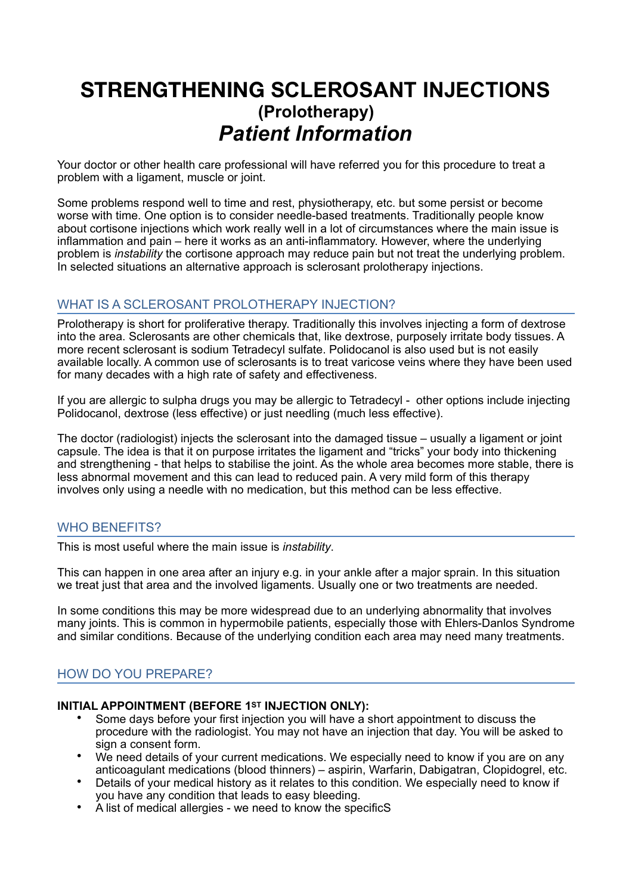# **STRENGTHENING SCLEROSANT INJECTIONS (Prolotherapy)** *Patient Information*

Your doctor or other health care professional will have referred you for this procedure to treat a problem with a ligament, muscle or joint.

Some problems respond well to time and rest, physiotherapy, etc. but some persist or become worse with time. One option is to consider needle-based treatments. Traditionally people know about cortisone injections which work really well in a lot of circumstances where the main issue is inflammation and pain – here it works as an anti-inflammatory. However, where the underlying problem is *instability* the cortisone approach may reduce pain but not treat the underlying problem. In selected situations an alternative approach is sclerosant prolotherapy injections.

# WHAT IS A SCLEROSANT PROLOTHERAPY INJECTION?

Prolotherapy is short for proliferative therapy. Traditionally this involves injecting a form of dextrose into the area. Sclerosants are other chemicals that, like dextrose, purposely irritate body tissues. A more recent sclerosant is sodium Tetradecyl sulfate. Polidocanol is also used but is not easily available locally. A common use of sclerosants is to treat varicose veins where they have been used for many decades with a high rate of safety and effectiveness.

If you are allergic to sulpha drugs you may be allergic to Tetradecyl - other options include injecting Polidocanol, dextrose (less effective) or just needling (much less effective).

The doctor (radiologist) injects the sclerosant into the damaged tissue – usually a ligament or joint capsule. The idea is that it on purpose irritates the ligament and "tricks" your body into thickening and strengthening - that helps to stabilise the joint. As the whole area becomes more stable, there is less abnormal movement and this can lead to reduced pain. A very mild form of this therapy involves only using a needle with no medication, but this method can be less effective.

# WHO BENEFITS?

This is most useful where the main issue is *instability*.

This can happen in one area after an injury e.g. in your ankle after a major sprain. In this situation we treat just that area and the involved ligaments. Usually one or two treatments are needed.

In some conditions this may be more widespread due to an underlying abnormality that involves many joints. This is common in hypermobile patients, especially those with Ehlers-Danlos Syndrome and similar conditions. Because of the underlying condition each area may need many treatments.

# HOW DO YOU PREPARE?

#### **INITIAL APPOINTMENT (BEFORE 1ST INJECTION ONLY):**

- Some days before your first injection you will have a short appointment to discuss the procedure with the radiologist. You may not have an injection that day. You will be asked to sign a consent form.
- We need details of vour current medications. We especially need to know if you are on any anticoagulant medications (blood thinners) – aspirin, Warfarin, Dabigatran, Clopidogrel, etc.
- Details of your medical history as it relates to this condition. We especially need to know if you have any condition that leads to easy bleeding.
- A list of medical allergies we need to know the specificS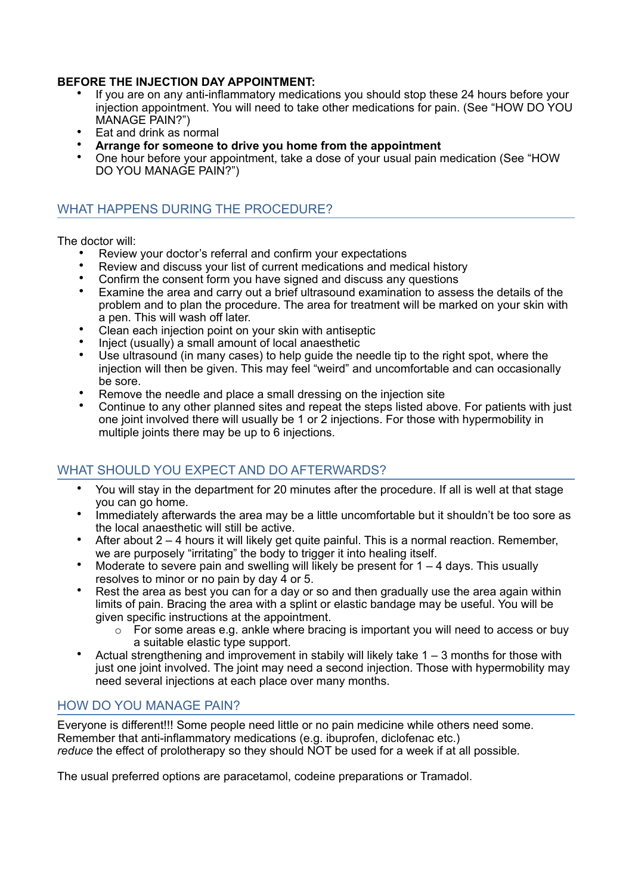#### **BEFORE THE INJECTION DAY APPOINTMENT:**

- If you are on any anti-inflammatory medications you should stop these 24 hours before your injection appointment. You will need to take other medications for pain. (See "HOW DO YOU MANAGE PAIN?")
- Eat and drink as normal
- **Arrange for someone to drive you home from the appointment**
- One hour before your appointment, take a dose of your usual pain medication (See "HOW DO YOU MANAGE PAIN?")

#### WHAT HAPPENS DURING THE PROCEDURE?

The doctor will:

- Review your doctor's referral and confirm your expectations
- Review and discuss your list of current medications and medical history
- Confirm the consent form you have signed and discuss any questions<br>• Examine the area and carry out a brief ultrasound examination to asso
- Examine the area and carry out a brief ultrasound examination to assess the details of the problem and to plan the procedure. The area for treatment will be marked on your skin with a pen. This will wash off later.
- Clean each injection point on your skin with antiseptic
- Inject (usually) a small amount of local anaesthetic
- Use ultrasound (in many cases) to help guide the needle tip to the right spot, where the injection will then be given. This may feel "weird" and uncomfortable and can occasionally be sore.
- Remove the needle and place a small dressing on the injection site
- Continue to any other planned sites and repeat the steps listed above. For patients with just one joint involved there will usually be 1 or 2 injections. For those with hypermobility in multiple joints there may be up to 6 injections.

# WHAT SHOULD YOU EXPECT AND DO AFTERWARDS?

- You will stay in the department for 20 minutes after the procedure. If all is well at that stage you can go home.
- Immediately afterwards the area may be a little uncomfortable but it shouldn't be too sore as the local anaesthetic will still be active.
- After about 2 4 hours it will likely get quite painful. This is a normal reaction. Remember, we are purposely "irritating" the body to trigger it into healing itself.
- Moderate to severe pain and swelling will likely be present for  $1 4$  days. This usually resolves to minor or no pain by day 4 or 5.
- Rest the area as best you can for a day or so and then gradually use the area again within limits of pain. Bracing the area with a splint or elastic bandage may be useful. You will be given specific instructions at the appointment.
	- o For some areas e.g. ankle where bracing is important you will need to access or buy a suitable elastic type support.
- Actual strengthening and improvement in stabily will likely take  $1 3$  months for those with just one joint involved. The joint may need a second injection. Those with hypermobility may need several injections at each place over many months.

# HOW DO YOU MANAGE PAIN?

Everyone is different!!! Some people need little or no pain medicine while others need some. Remember that anti-inflammatory medications (e.g. ibuprofen, diclofenac etc.) *reduce* the effect of prolotherapy so they should NOT be used for a week if at all possible.

The usual preferred options are paracetamol, codeine preparations or Tramadol.